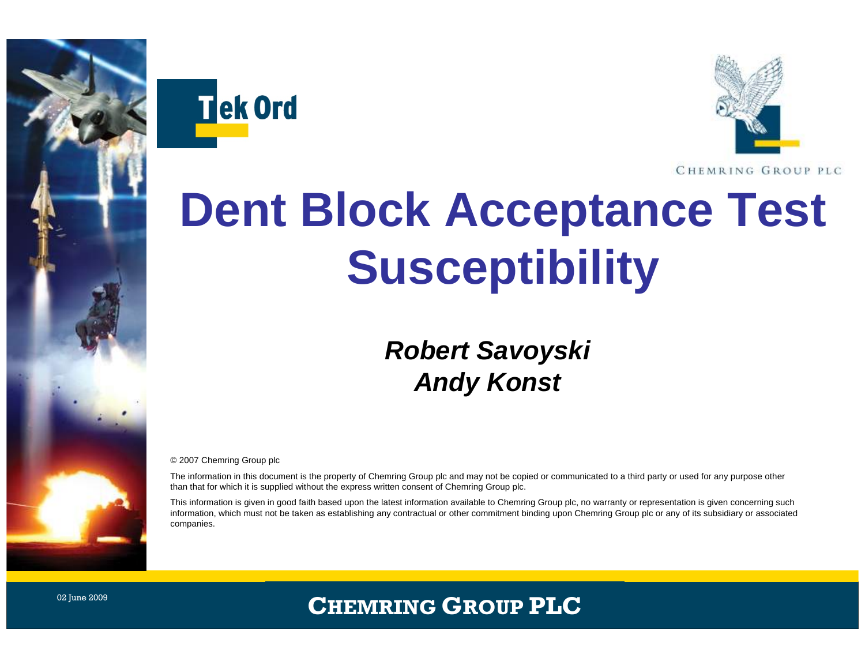



# **Dent Block Acceptance Test Susceptibility**

#### *Robert Savoyski Andy Konst*

© 2007 Chemring Group plc

The information in this document is the property of Chemring Group plc and may not be copied or communicated to a third party or used for any purpose other than that for which it is supplied without the express written consent of Chemring Group plc.

This information is given in good faith based upon the latest information available to Chemring Group plc, no warranty or representation is given concerning such information, which must not be taken as establishing any contractual or other commitment binding upon Chemring Group plc or any of its subsidiary or associated companies.

#### **CHEMRING GROUP PLC**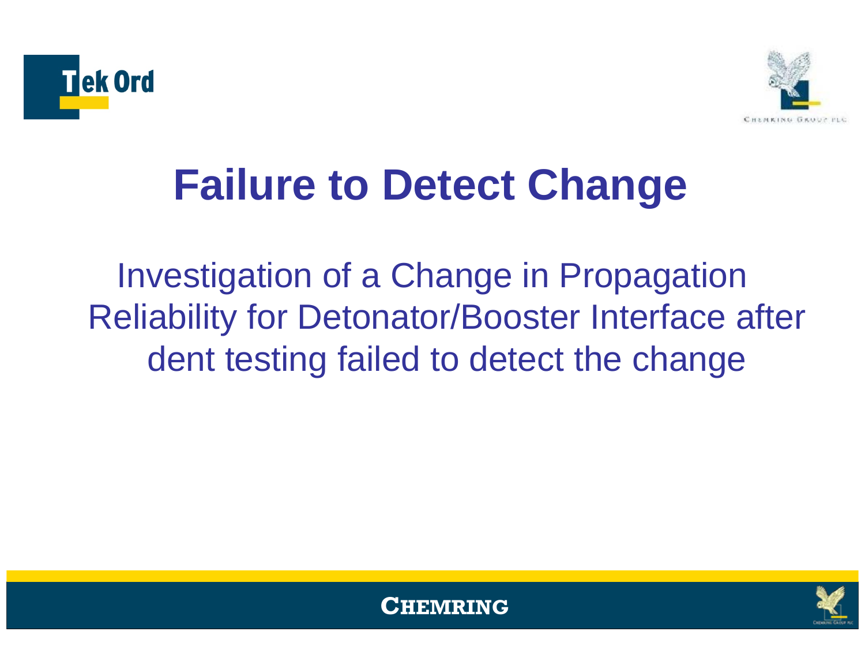



# **Failure to Detect Change**

Investigation of a Change in Propagation Reliability for Detonator/Booster Interface after dent testing failed to detect the change



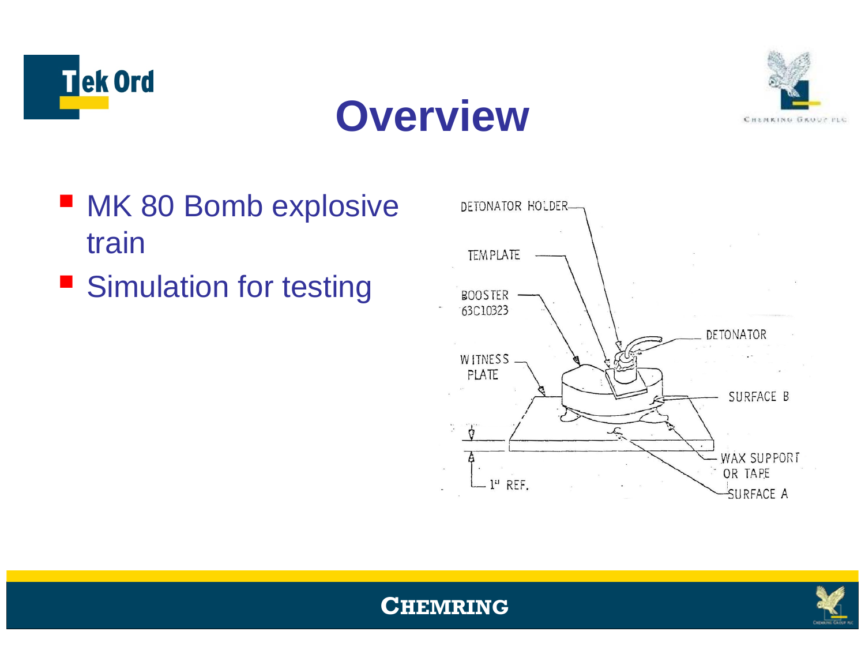

### **Overview**



- MK 80 Bomb explosive train
- **Simulation for testing**





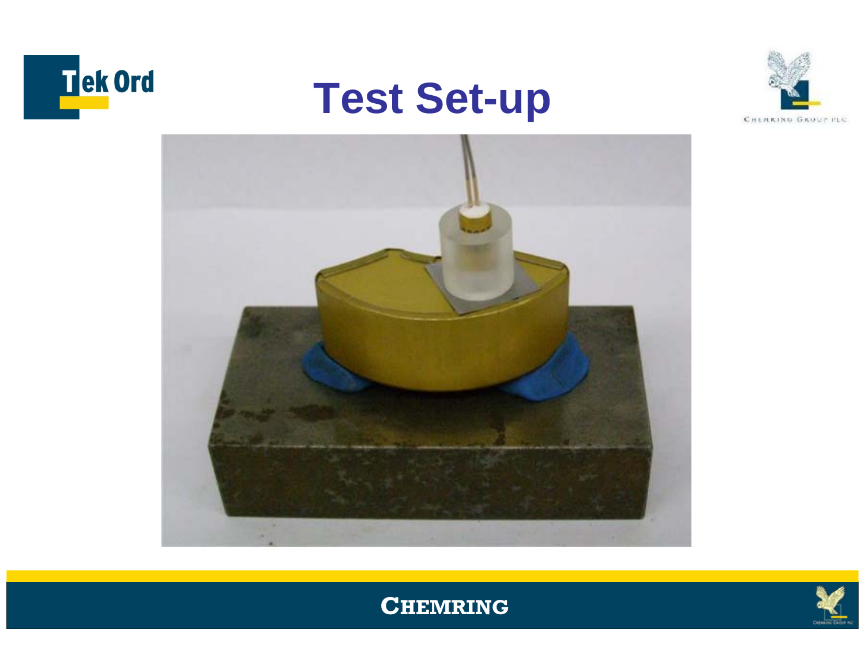









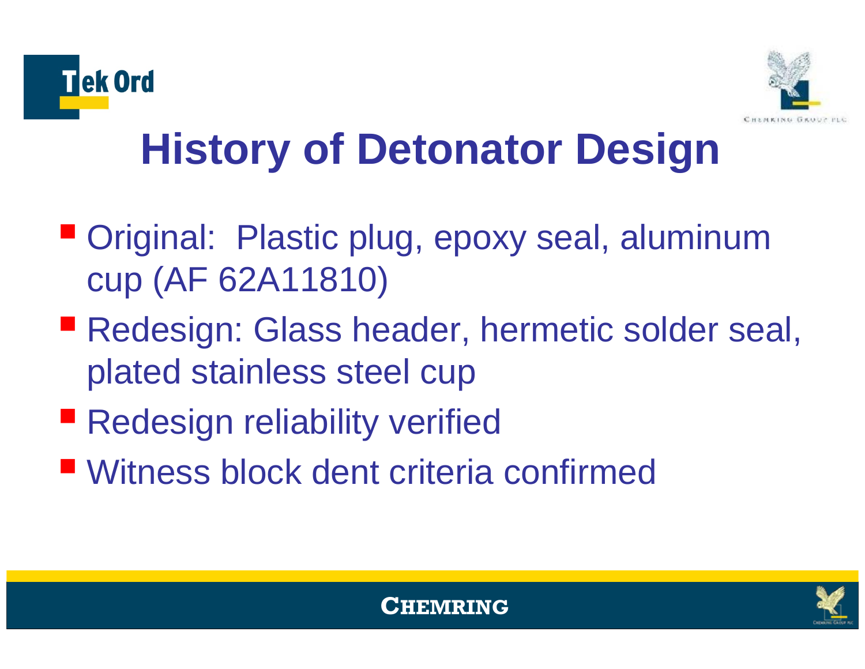



# **History of Detonator Design**

- Original: Plastic plug, epoxy seal, aluminum cup (AF 62A11810)
- **Redesign: Glass header, hermetic solder seal,** plated stainless steel cup
- **Redesign reliability verified**
- Witness block dent criteria confirmed



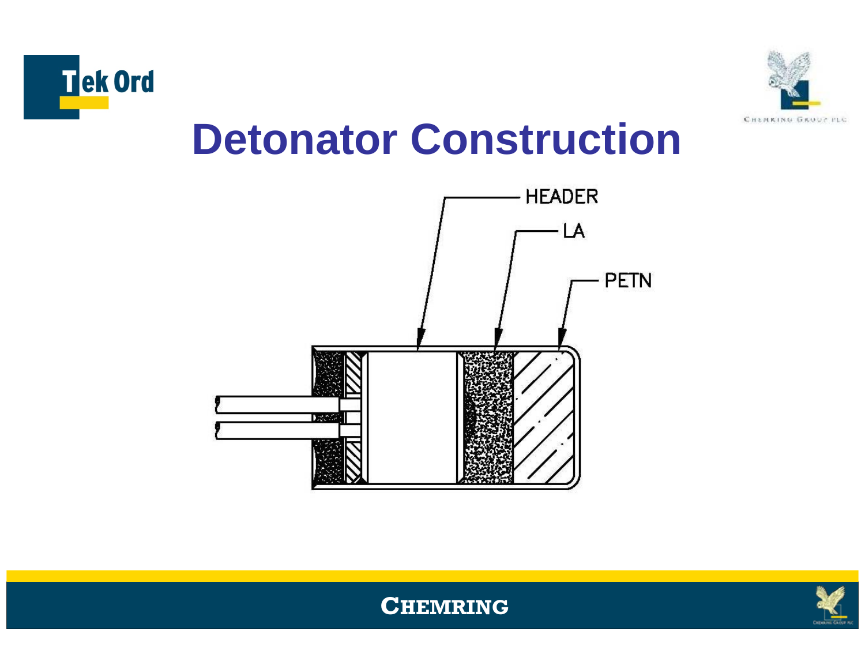



### **Detonator Construction**





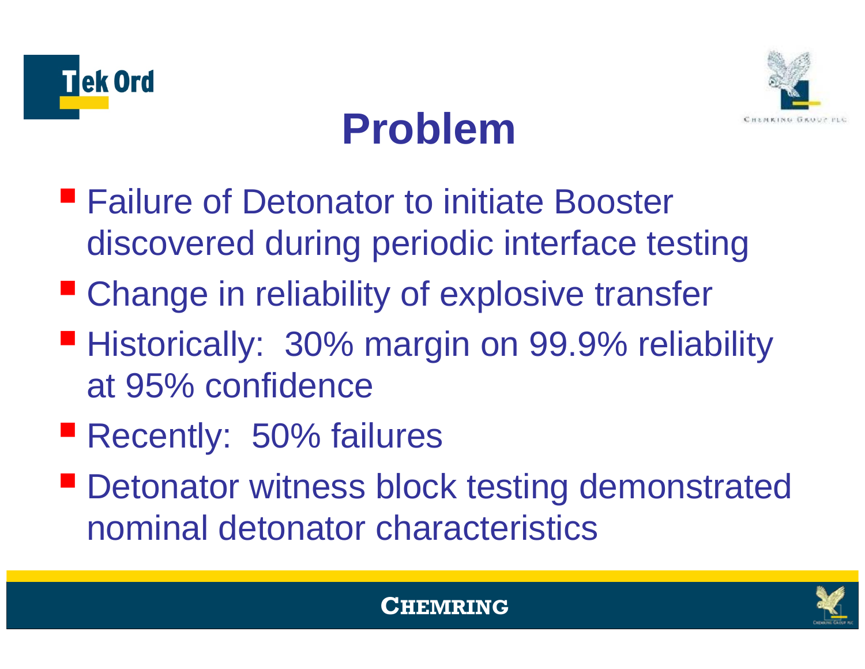



## **Problem**

- Failure of Detonator to initiate Booster discovered during periodic interface testing
- **Explosive transferrelle in reliability of explosive transferrelle in the Change in reliability of explosive transferrelle**
- Historically: 30% margin on 99.9% reliability at 95% confidence
- **Recently: 50% failures**
- **Detonator witness block testing demonstrated** nominal detonator characteristics



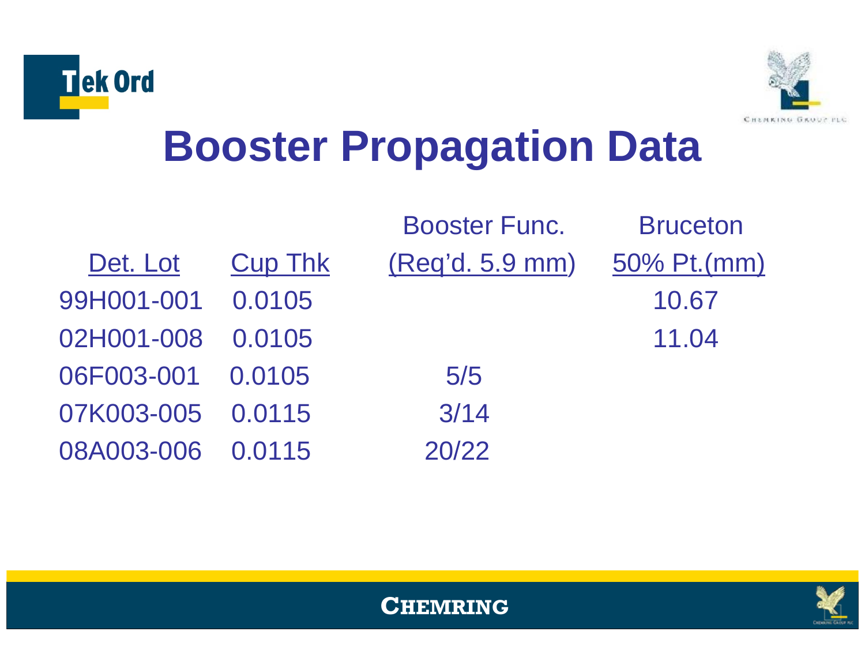



# **Booster Propagation Data**

|                   |                | <b>Booster Func.</b> | <b>Bruceton</b> |
|-------------------|----------------|----------------------|-----------------|
| Det. Lot          | <b>Cup Thk</b> | (Req'd. 5.9 mm)      | 50% Pt.(mm)     |
| 99H001-001        | 0.0105         |                      | 10.67           |
| 02H001-008        | 0.0105         |                      | 11.04           |
| 06F003-001 0.0105 |                | 5/5                  |                 |
| 07K003-005 0.0115 |                | 3/14                 |                 |
| 08A003-006 0.0115 |                | 20/22                |                 |



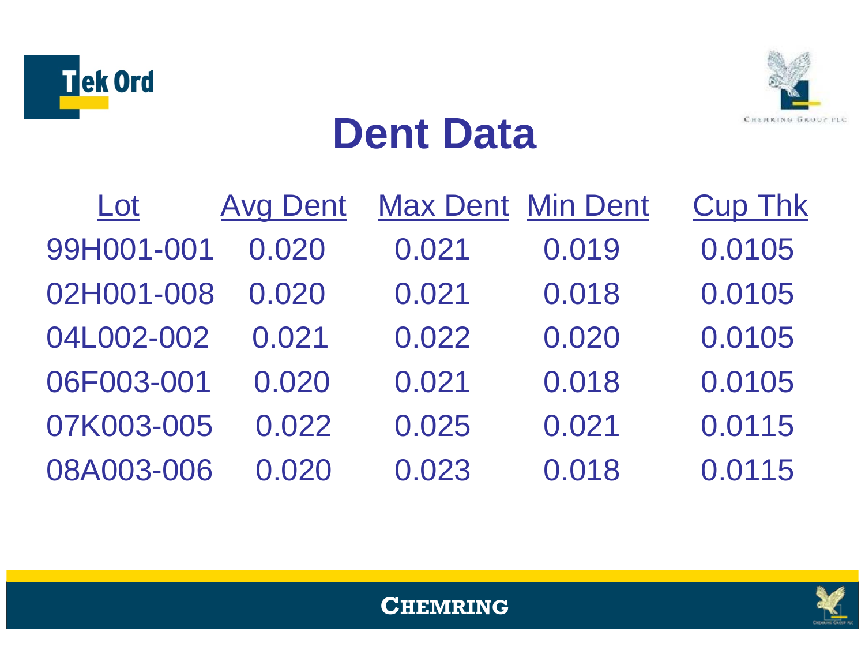



### **Dent Data**

| Lot        | <b>Avg Dent</b> |       | <b>Max Dent Min Dent</b> | <b>Cup Thk</b> |
|------------|-----------------|-------|--------------------------|----------------|
| 99H001-001 | 0.020           | 0.021 | 0.019                    | 0.0105         |
| 02H001-008 | 0.020           | 0.021 | 0.018                    | 0.0105         |
| 04L002-002 | 0.021           | 0.022 | 0.020                    | 0.0105         |
| 06F003-001 | 0.020           | 0.021 | 0.018                    | 0.0105         |
| 07K003-005 | 0.022           | 0.025 | 0.021                    | 0.0115         |
| 08A003-006 | 0.020           | 0.023 | 0.018                    | 0.0115         |



#### **CHEMRING**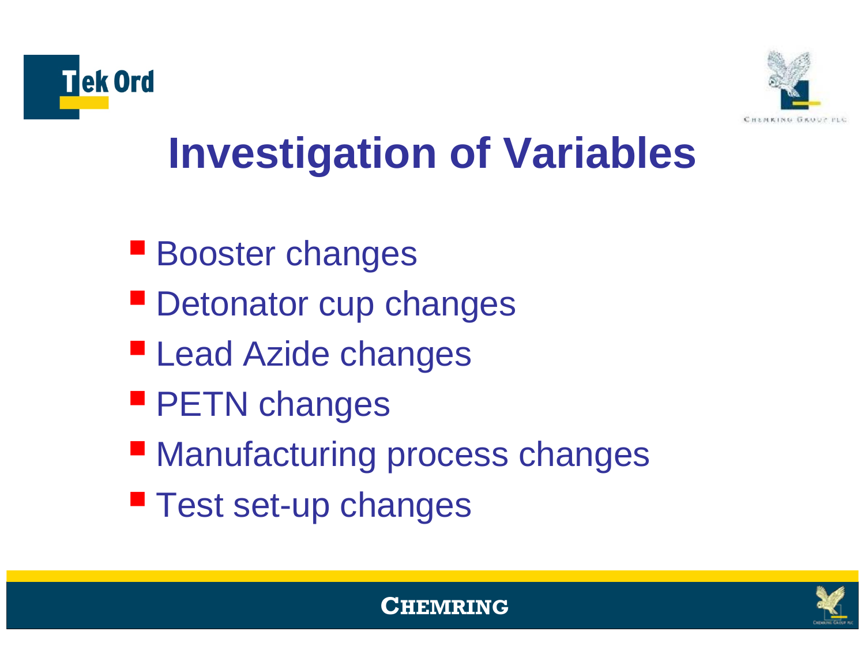



# **Investigation of Variables**

- **Booster changes**
- **Detonator cup changes**
- **Lead Azide changes**
- **PETN changes**
- **Manufacturing process changes**
- **Test set-up changes**



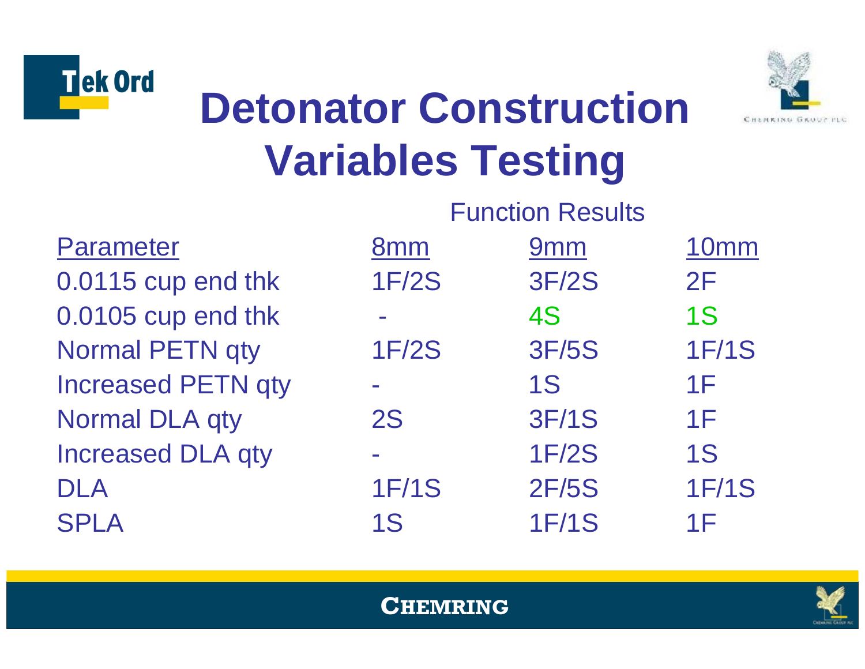



# **Detonator Construction Variables Testing**

|                           | <b>Function Results</b> |                 |                  |
|---------------------------|-------------------------|-----------------|------------------|
| <b>Parameter</b>          | 8 <sub>mm</sub>         | 9 <sub>mm</sub> | 10 <sub>mm</sub> |
| 0.0115 cup end thk        | <b>1F/2S</b>            | <b>3F/2S</b>    | 2F               |
| 0.0105 cup end thk        |                         | 4S              | <b>1S</b>        |
| <b>Normal PETN qty</b>    | <b>1F/2S</b>            | <b>3F/5S</b>    | <b>1F/1S</b>     |
| <b>Increased PETN qty</b> |                         | <b>1S</b>       | 1F               |
| <b>Normal DLA qty</b>     | <b>2S</b>               | <b>3F/1S</b>    | 1F               |
| <b>Increased DLA qty</b>  |                         | <b>1F/2S</b>    | <b>1S</b>        |
| <b>DLA</b>                | <b>1F/1S</b>            | <b>2F/5S</b>    | <b>1F/1S</b>     |
| <b>SPLA</b>               | <b>1S</b>               | <b>1F/1S</b>    | 1F               |

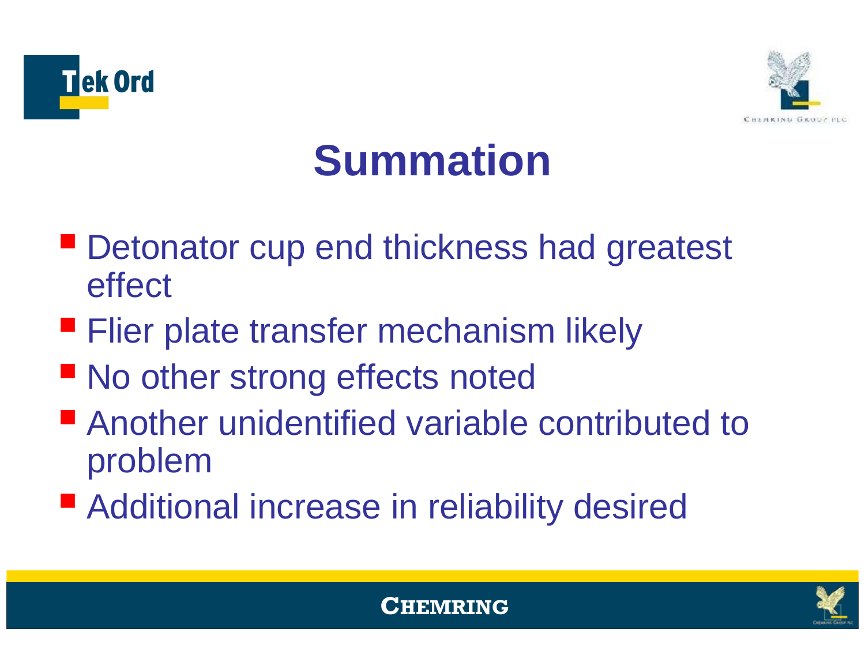



# **Summation**

- **Detonator cup end thickness had greatest** effect
- **Flier plate transfer mechanism likely**
- **No other strong effects noted**
- Another unidentified variable contributed to problem
- Additional increase in reliability desired



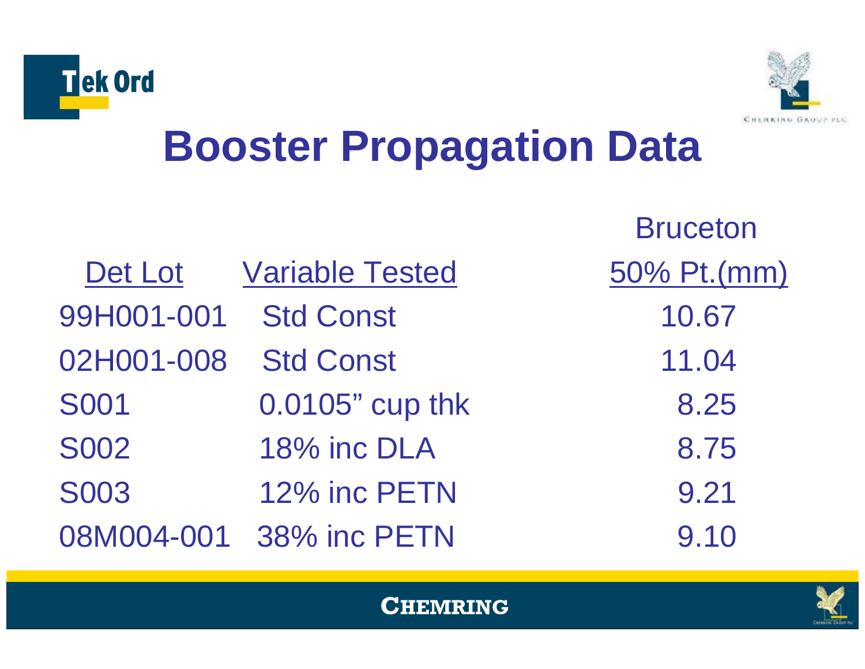



# **Booster Propagation Data**

|             |                         | <b>Bruceton</b> |
|-------------|-------------------------|-----------------|
| Det Lot     | <b>Variable Tested</b>  | 50% Pt.(mm)     |
| 99H001-001  | <b>Std Const</b>        | 10.67           |
| 02H001-008  | <b>Std Const</b>        | 11.04           |
| <b>S001</b> | 0.0105" cup thk         | 8.25            |
| <b>S002</b> | 18% inc DLA             | 8.75            |
| <b>S003</b> | 12% inc PETN            | 9.21            |
|             | 08M004-001 38% inc PETN | 9.10            |



#### **CHEMRING**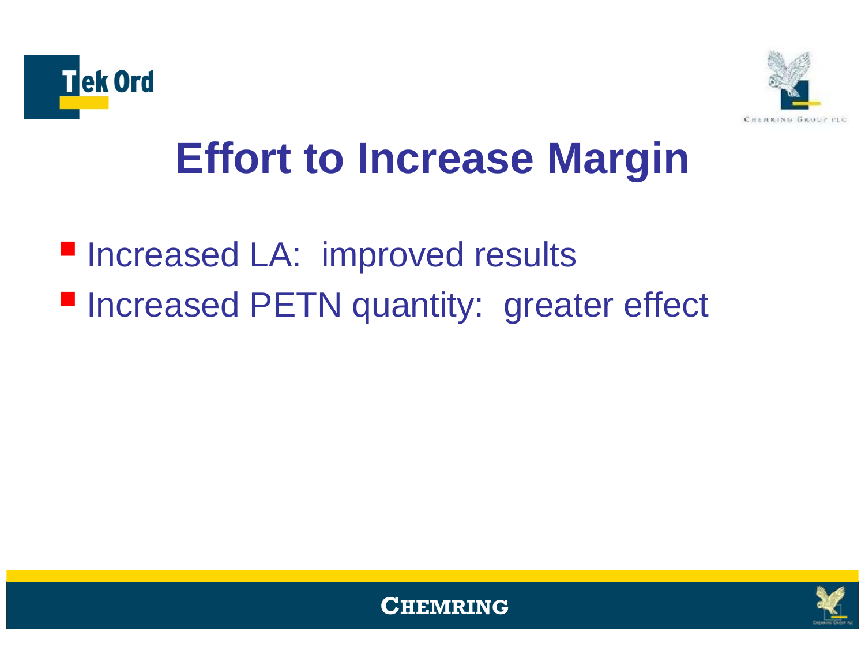



# **Effort to Increase Margin**

### **Increased LA: improved results Increased PETN quantity: greater effect**